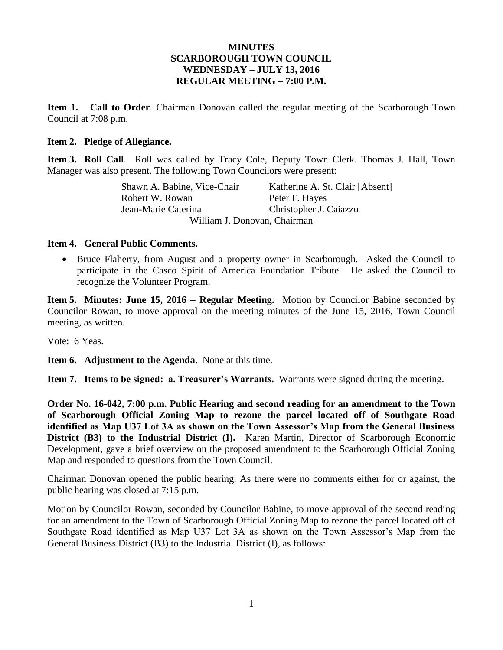#### **MINUTES SCARBOROUGH TOWN COUNCIL WEDNESDAY – JULY 13, 2016 REGULAR MEETING – 7:00 P.M.**

**Item 1. Call to Order**. Chairman Donovan called the regular meeting of the Scarborough Town Council at 7:08 p.m.

#### **Item 2. Pledge of Allegiance.**

**Item 3. Roll Call**. Roll was called by Tracy Cole, Deputy Town Clerk. Thomas J. Hall, Town Manager was also present. The following Town Councilors were present:

| Shawn A. Babine, Vice-Chair  | Katherine A. St. Clair [Absent] |  |  |  |
|------------------------------|---------------------------------|--|--|--|
| Robert W. Rowan              | Peter F. Hayes                  |  |  |  |
| Jean-Marie Caterina          | Christopher J. Caiazzo          |  |  |  |
| William J. Donovan, Chairman |                                 |  |  |  |

#### **Item 4. General Public Comments.**

 Bruce Flaherty, from August and a property owner in Scarborough. Asked the Council to participate in the Casco Spirit of America Foundation Tribute. He asked the Council to recognize the Volunteer Program.

**Item 5. Minutes: June 15, 2016 – Regular Meeting.** Motion by Councilor Babine seconded by Councilor Rowan, to move approval on the meeting minutes of the June 15, 2016, Town Council meeting, as written.

Vote: 6 Yeas.

**Item 6. Adjustment to the Agenda**. None at this time.

**Item 7. Items to be signed: a. Treasurer's Warrants.** Warrants were signed during the meeting.

**Order No. 16-042, 7:00 p.m. Public Hearing and second reading for an amendment to the Town of Scarborough Official Zoning Map to rezone the parcel located off of Southgate Road identified as Map U37 Lot 3A as shown on the Town Assessor's Map from the General Business District (B3) to the Industrial District (I).** Karen Martin, Director of Scarborough Economic Development, gave a brief overview on the proposed amendment to the Scarborough Official Zoning Map and responded to questions from the Town Council.

Chairman Donovan opened the public hearing. As there were no comments either for or against, the public hearing was closed at 7:15 p.m.

Motion by Councilor Rowan, seconded by Councilor Babine, to move approval of the second reading for an amendment to the Town of Scarborough Official Zoning Map to rezone the parcel located off of Southgate Road identified as Map U37 Lot 3A as shown on the Town Assessor's Map from the General Business District (B3) to the Industrial District (I), as follows: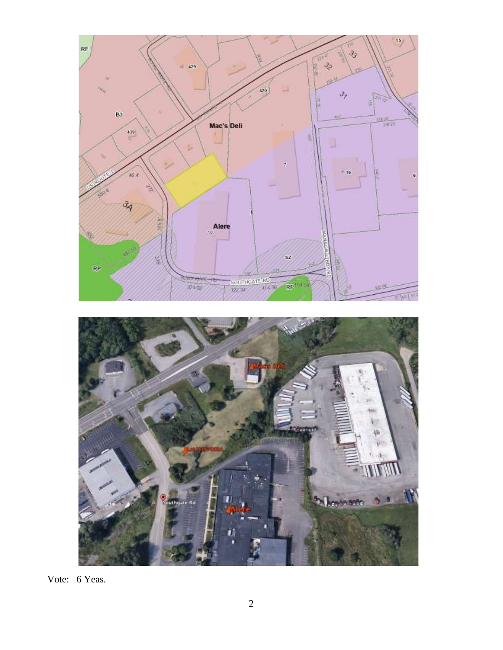

Vote: 6 Yeas.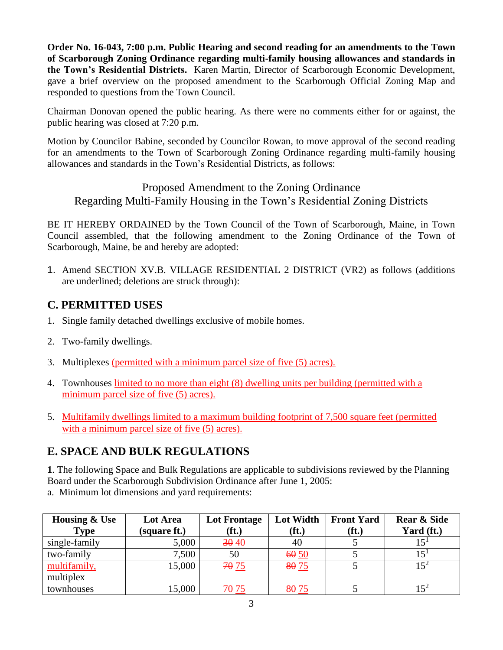**Order No. 16-043, 7:00 p.m. Public Hearing and second reading for an amendments to the Town of Scarborough Zoning Ordinance regarding multi-family housing allowances and standards in the Town's Residential Districts.** Karen Martin, Director of Scarborough Economic Development, gave a brief overview on the proposed amendment to the Scarborough Official Zoning Map and responded to questions from the Town Council.

Chairman Donovan opened the public hearing. As there were no comments either for or against, the public hearing was closed at 7:20 p.m.

Motion by Councilor Babine, seconded by Councilor Rowan, to move approval of the second reading for an amendments to the Town of Scarborough Zoning Ordinance regarding multi-family housing allowances and standards in the Town's Residential Districts, as follows:

### Proposed Amendment to the Zoning Ordinance Regarding Multi-Family Housing in the Town's Residential Zoning Districts

BE IT HEREBY ORDAINED by the Town Council of the Town of Scarborough, Maine, in Town Council assembled, that the following amendment to the Zoning Ordinance of the Town of Scarborough, Maine, be and hereby are adopted:

1. Amend SECTION XV.B. VILLAGE RESIDENTIAL 2 DISTRICT (VR2) as follows (additions are underlined; deletions are struck through):

### **C. PERMITTED USES**

- 1. Single family detached dwellings exclusive of mobile homes.
- 2. Two-family dwellings.
- 3. Multiplexes (permitted with a minimum parcel size of five (5) acres).
- 4. Townhouses limited to no more than eight (8) dwelling units per building (permitted with a minimum parcel size of five (5) acres).
- 5. Multifamily dwellings limited to a maximum building footprint of 7,500 square feet (permitted with a minimum parcel size of five (5) acres).

# **E. SPACE AND BULK REGULATIONS**

**1**. The following Space and Bulk Regulations are applicable to subdivisions reviewed by the Planning Board under the Scarborough Subdivision Ordinance after June 1, 2005:

a. Minimum lot dimensions and yard requirements:

| <b>Housing &amp; Use</b> | Lot Area     | <b>Lot Frontage</b> | Lot Width         | <b>Front Yard</b> | <b>Rear &amp; Side</b> |
|--------------------------|--------------|---------------------|-------------------|-------------------|------------------------|
| <b>Type</b>              | (square ft.) | $(f_t)$             | (f <sub>t</sub> ) | (ft.)             | Yard (ft.)             |
| single-family            | 5,000        | 30 40               | 40                |                   | 15 <sup>1</sup>        |
| two-family               | 7,500        | 50                  | 6050              |                   | 15 <sup>1</sup>        |
| multifamily,             | 15,000       | 70 75               | 8075              |                   | $15^2$                 |
| multiplex                |              |                     |                   |                   |                        |
| townhouses               | 15,000       | 70 75               | 8075              |                   |                        |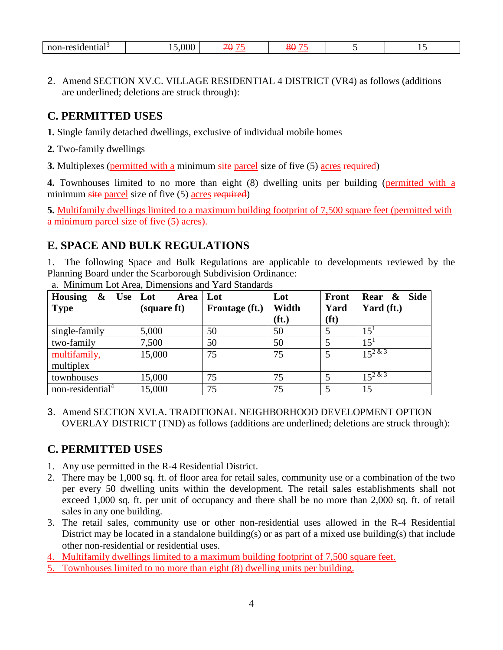| dontial-<br>max<br>⇒нuаг<br>. | $\Omega$<br>.vvv | $\neg \wedge$<br>. . | $\overline{\phantom{a}}$ |  |  |
|-------------------------------|------------------|----------------------|--------------------------|--|--|
|-------------------------------|------------------|----------------------|--------------------------|--|--|

2. Amend SECTION XV.C. VILLAGE RESIDENTIAL 4 DISTRICT (VR4) as follows (additions are underlined; deletions are struck through):

### **C. PERMITTED USES**

- **1.** Single family detached dwellings, exclusive of individual mobile homes
- **2.** Two-family dwellings
- **3.** Multiplexes (permitted with a minimum site parcel size of five (5) acres required)

**4.** Townhouses limited to no more than eight (8) dwelling units per building (permitted with a minimum site parcel size of five (5) acres required)

**5.** Multifamily dwellings limited to a maximum building footprint of 7,500 square feet (permitted with a minimum parcel size of five (5) acres).

### **E. SPACE AND BULK REGULATIONS**

1. The following Space and Bulk Regulations are applicable to developments reviewed by the Planning Board under the Scarborough Subdivision Ordinance:

| <b>Housing</b><br>$\boldsymbol{\alpha}$<br>Use $ $ Lot<br><b>Type</b> | Area<br>(square ft) | Lot<br>Frontage (ft.) | Lot<br>Width<br>(f <sub>t</sub> ) | <b>Front</b><br>Yard<br>(f <sup>t</sup> ) | Rear &<br><b>Side</b><br>Yard (ft.) |
|-----------------------------------------------------------------------|---------------------|-----------------------|-----------------------------------|-------------------------------------------|-------------------------------------|
| single-family                                                         | 5,000               | 50                    | 50                                | 5                                         | 15 <sup>1</sup>                     |
| two-family                                                            | 7,500               | 50                    | 50                                | 5                                         | 15 <sup>1</sup>                     |
| multifamily,                                                          | 15,000              | 75                    | 75                                | 5                                         | $15^{2 \& 3}$                       |
| multiplex                                                             |                     |                       |                                   |                                           |                                     |
| townhouses                                                            | 15,000              | 75                    | 75                                | 5                                         | $15^{2 \& 3}$                       |
| non-residential <sup>4</sup>                                          | 15,000              | 75                    | 75                                | 5                                         | 15                                  |

a. Minimum Lot Area, Dimensions and Yard Standards

3. Amend SECTION XVI.A. TRADITIONAL NEIGHBORHOOD DEVELOPMENT OPTION OVERLAY DISTRICT (TND) as follows (additions are underlined; deletions are struck through):

# **C. PERMITTED USES**

- 1. Any use permitted in the R-4 Residential District.
- 2. There may be 1,000 sq. ft. of floor area for retail sales, community use or a combination of the two per every 50 dwelling units within the development. The retail sales establishments shall not exceed 1,000 sq. ft. per unit of occupancy and there shall be no more than 2,000 sq. ft. of retail sales in any one building.
- 3. The retail sales, community use or other non-residential uses allowed in the R-4 Residential District may be located in a standalone building(s) or as part of a mixed use building(s) that include other non-residential or residential uses.
- 4. Multifamily dwellings limited to a maximum building footprint of 7,500 square feet.
- 5. Townhouses limited to no more than eight (8) dwelling units per building.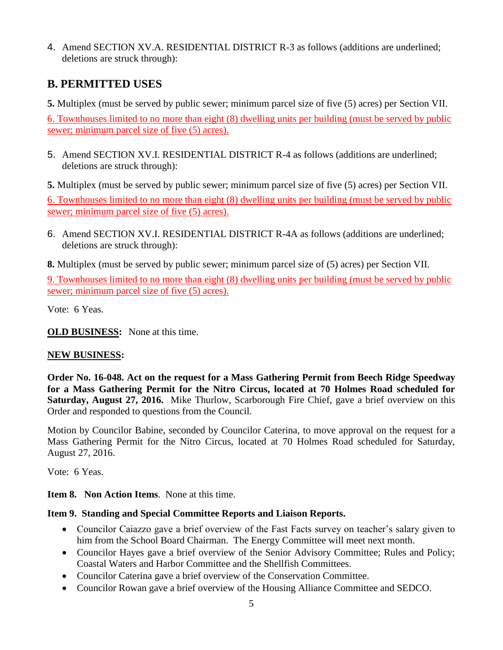4. Amend SECTION XV.A. RESIDENTIAL DISTRICT R-3 as follows (additions are underlined; deletions are struck through):

# **B. PERMITTED USES**

**5.** Multiplex (must be served by public sewer; minimum parcel size of five (5) acres) per Section VII.

6. Townhouses limited to no more than eight (8) dwelling units per building (must be served by public sewer; minimum parcel size of five (5) acres).

- 5. Amend SECTION XV.I. RESIDENTIAL DISTRICT R-4 as follows (additions are underlined; deletions are struck through):
- **5.** Multiplex (must be served by public sewer; minimum parcel size of five (5) acres) per Section VII.

6. Townhouses limited to no more than eight (8) dwelling units per building (must be served by public sewer; minimum parcel size of five (5) acres).

- 6. Amend SECTION XV.I. RESIDENTIAL DISTRICT R-4A as follows (additions are underlined; deletions are struck through):
- **8.** Multiplex (must be served by public sewer; minimum parcel size of (5) acres) per Section VII.

9. Townhouses limited to no more than eight (8) dwelling units per building (must be served by public sewer; minimum parcel size of five (5) acres).

Vote: 6 Yeas.

**OLD BUSINESS:** None at this time.

#### **NEW BUSINESS:**

**Order No. 16-048. Act on the request for a Mass Gathering Permit from Beech Ridge Speedway for a Mass Gathering Permit for the Nitro Circus, located at 70 Holmes Road scheduled for Saturday, August 27, 2016.** Mike Thurlow, Scarborough Fire Chief, gave a brief overview on this Order and responded to questions from the Council.

Motion by Councilor Babine, seconded by Councilor Caterina, to move approval on the request for a Mass Gathering Permit for the Nitro Circus, located at 70 Holmes Road scheduled for Saturday, August 27, 2016.

Vote: 6 Yeas.

**Item 8. Non Action Items**. None at this time.

#### **Item 9. Standing and Special Committee Reports and Liaison Reports.**

- Councilor Caiazzo gave a brief overview of the Fast Facts survey on teacher's salary given to him from the School Board Chairman. The Energy Committee will meet next month.
- Councilor Hayes gave a brief overview of the Senior Advisory Committee; Rules and Policy; Coastal Waters and Harbor Committee and the Shellfish Committees.
- Councilor Caterina gave a brief overview of the Conservation Committee.
- Councilor Rowan gave a brief overview of the Housing Alliance Committee and SEDCO.